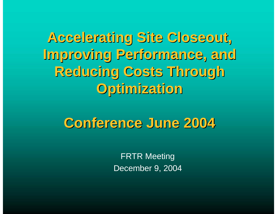**Accelerating Site Closeout, Accelerating Site Closeout, Improving Performance, and Improving Performance, and Reducing Costs Through Reducing Costs Through Optimization Optimization**

## **Conference June 2004 Conference June 2004**

FRTR Meeting December 9, 2004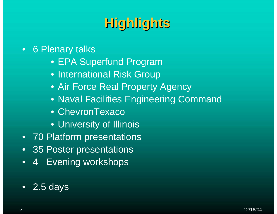# **Highlights Highlights**

#### • 6 Plenary talks

- EPA Superfund Program
- International Risk Group
- Air Force Real Property Agency
- Naval Facilities Engineering Command
- ChevronTexaco
- University of Illinois
- 70 Platform presentations
- 35 Poster presentations
- •4 Evening workshops

#### • 2.5 days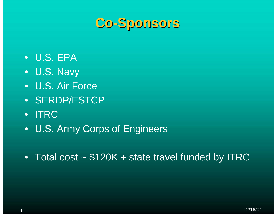

- U.S. EPA
- U.S. Navy
- U.S. Air Force
- SERDP/ESTCP
- ITRC
- U.S. Army Corps of Engineers
- Total cost ~ \$120K + state travel funded by ITRC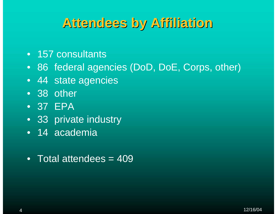#### **Attendees by Affiliation Attendees by Affiliation**

- 157 consultants
- 86 federal agencies (DoD, DoE, Corps, other)
- 44 state agencies
- 38 other
- 37 EPA
- 33 private industry
- 14 academia
- Total attendees = 409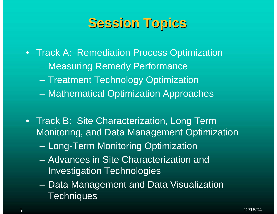## **Session Topics Session Topics**

- Track A: Remediation Process Optimization – Measuring Remedy Performance Treatment Technology Optimization
	- Mathematical Optimization Approaches
- Track B: Site Characterization, Long Term Monitoring, and Data Management Optimization
	- Long-Term Monitoring Optimization
	- Advances in Site Characterization and Investigation Technologies
	- $\mathcal{L}_{\mathcal{A}}$  Data Management and Data Visualization **Techniques**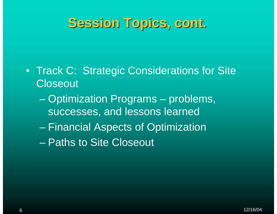### **Session Topics, cont. Session Topics, cont.**

- Track C: Strategic Considerations for Site **Closeout** 
	- Optimization Programs problems, successes, and lessons learned
	- –Financial Aspects of Optimization
	- Paths to Site Closeout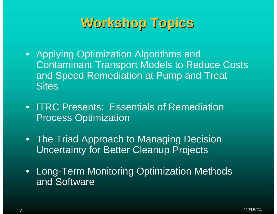## **Workshop Topics Workshop Topics**

- Applying Optimization Algorithms and Contaminant Transport Models to Reduce Costs and Speed Remediation at Pump and Treat **Sites**
- ITRC Presents: Essentials of Remediation Process Optimization
- The Triad Approach to Managing Decision Uncertainty for Better Cleanup Projects
- Long-Term Monitoring Optimization Methods and Software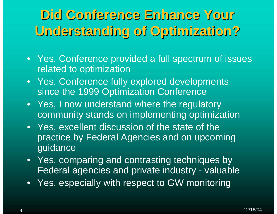# **Did Conference Enhance Your Did Conference Enhance Your Understanding of Optimization? Understanding of Optimization?**

- Yes, Conference provided a full spectrum of issues related to optimization
- Yes, Conference fully explored developments since the 1999 Optimization Conference
- Yes, I now understand where the regulatory community stands on implementing optimization
- Yes, excellent discussion of the state of the practice by Federal Agencies and on upcoming guidance
- Yes, comparing and contrasting techniques by Federal agencies and private industry - valuable
- Yes, especially with respect to GW monitoring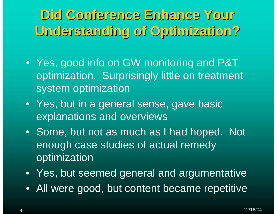# **Did Conference Enhance Your Did Conference Enhance Your Understanding of Optimization? Understanding of Optimization?**

- Yes, good info on GW monitoring and P&T optimization. Surprisingly little on treatment system optimization
- Yes, but in a general sense, gave basic explanations and overviews
- Some, but not as much as I had hoped. Not enough case studies of actual remedy optimization
- Yes, but seemed general and argumentative
- All were good, but content became repetitive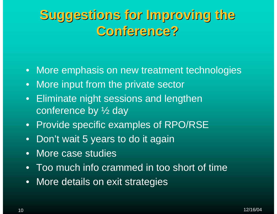## **Suggestions for Improving the Suggestions for Improving the Conference? Conference?**

- More emphasis on new treatment technologies
- More input from the private sector
- Eliminate night sessions and lengthen conference by ½ day
- Provide specific examples of RPO/RSE
- Don't wait 5 years to do it again
- More case studies
- Too much info crammed in too short of time
- More details on exit strategies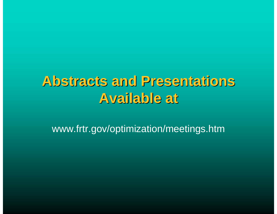# **Abstracts and Presentations Abstracts and Presentations Available at Available at**

www.frtr.gov/optimization/meetings.htm